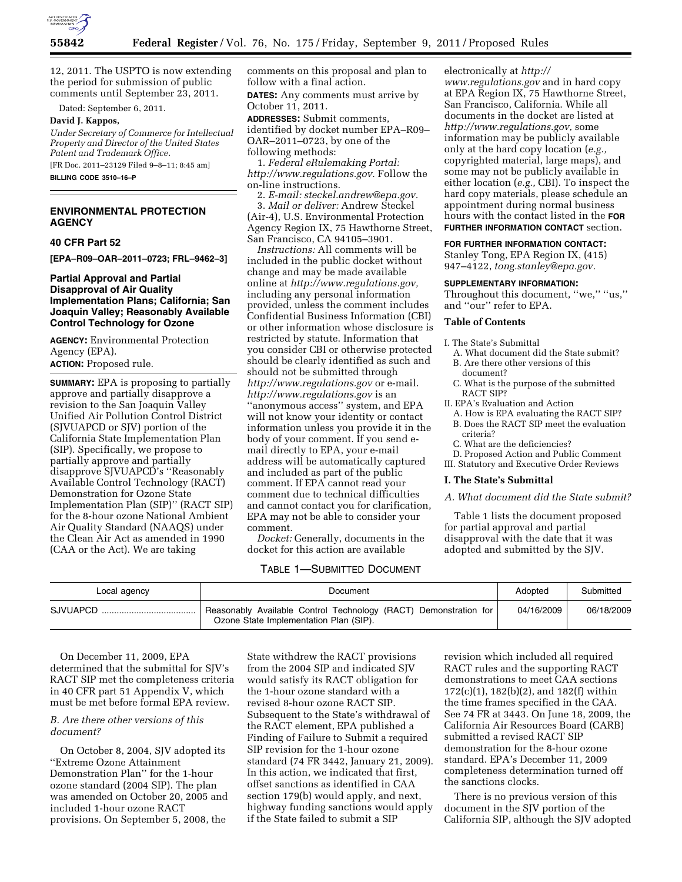

12, 2011. The USPTO is now extending the period for submission of public comments until September 23, 2011.

Dated: September 6, 2011.

## **David J. Kappos,**

*Under Secretary of Commerce for Intellectual Property and Director of the United States Patent and Trademark Office.*  [FR Doc. 2011–23129 Filed 9–8–11; 8:45 am]

**BILLING CODE 3510–16–P** 

# **ENVIRONMENTAL PROTECTION AGENCY**

## **40 CFR Part 52**

**[EPA–R09–OAR–2011–0723; FRL–9462–3]** 

# **Partial Approval and Partial Disapproval of Air Quality Implementation Plans; California; San Joaquin Valley; Reasonably Available Control Technology for Ozone**

**AGENCY:** Environmental Protection Agency (EPA).

### **ACTION:** Proposed rule.

**SUMMARY:** EPA is proposing to partially approve and partially disapprove a revision to the San Joaquin Valley Unified Air Pollution Control District (SJVUAPCD or SJV) portion of the California State Implementation Plan (SIP). Specifically, we propose to partially approve and partially disapprove SJVUAPCD's ''Reasonably Available Control Technology (RACT) Demonstration for Ozone State Implementation Plan (SIP)'' (RACT SIP) for the 8-hour ozone National Ambient Air Quality Standard (NAAQS) under the Clean Air Act as amended in 1990 (CAA or the Act). We are taking

comments on this proposal and plan to follow with a final action. **DATES:** Any comments must arrive by

October 11, 2011. **ADDRESSES:** Submit comments,

identified by docket number EPA–R09– OAR–2011–0723, by one of the following methods:

1. *Federal eRulemaking Portal: [http://www.regulations.gov.](http://www.regulations.gov)* Follow the on-line instructions.

2. *E-mail: [steckel.andrew@epa.gov.](mailto:steckel.andrew@epa.gov)*  3. *Mail or deliver:* Andrew Steckel (Air-4), U.S. Environmental Protection Agency Region IX, 75 Hawthorne Street, San Francisco, CA 94105–3901.

*Instructions:* All comments will be included in the public docket without change and may be made available online at *[http://www.regulations.gov,](http://www.regulations.gov)*  including any personal information provided, unless the comment includes Confidential Business Information (CBI) or other information whose disclosure is restricted by statute. Information that you consider CBI or otherwise protected should be clearly identified as such and should not be submitted through *<http://www.regulations.gov>* or e-mail. *<http://www.regulations.gov>* is an ''anonymous access'' system, and EPA will not know your identity or contact information unless you provide it in the body of your comment. If you send email directly to EPA, your e-mail address will be automatically captured and included as part of the public comment. If EPA cannot read your comment due to technical difficulties and cannot contact you for clarification, EPA may not be able to consider your comment.

*Docket:* Generally, documents in the docket for this action are available

# TABLE 1—SUBMITTED DOCUMENT

electronically at *[http://](http://www.regulations.gov) [www.regulations.gov](http://www.regulations.gov)* and in hard copy at EPA Region IX, 75 Hawthorne Street, San Francisco, California. While all documents in the docket are listed at *[http://www.regulations.gov,](http://www.regulations.gov)* some information may be publicly available only at the hard copy location (*e.g.,*  copyrighted material, large maps), and some may not be publicly available in either location (*e.g.,* CBI). To inspect the hard copy materials, please schedule an appointment during normal business hours with the contact listed in the **FOR FURTHER INFORMATION CONTACT** section.

## **FOR FURTHER INFORMATION CONTACT:**

Stanley Tong, EPA Region IX, (415) 947–4122, *[tong.stanley@epa.gov.](mailto:tong.stanley@epa.gov)* 

### **SUPPLEMENTARY INFORMATION:**

Throughout this document, "we," "us," and ''our'' refer to EPA.

## **Table of Contents**

I. The State's Submittal

- A. What document did the State submit? B. Are there other versions of this document?
- C. What is the purpose of the submitted RACT SIP?
- II. EPA's Evaluation and Action
	- A. How is EPA evaluating the RACT SIP? B. Does the RACT SIP meet the evaluation criteria?
	- C. What are the deficiencies?

D. Proposed Action and Public Comment III. Statutory and Executive Order Reviews

#### **I. The State's Submittal**

*A. What document did the State submit?* 

Table 1 lists the document proposed for partial approval and partial disapproval with the date that it was adopted and submitted by the SJV.

| Local agency | Document                                                                                                   | Adopted    | Submitted  |
|--------------|------------------------------------------------------------------------------------------------------------|------------|------------|
| SJVUAPCD     | Reasonably Available Control Technology (RACT) Demonstration for<br>Ozone State Implementation Plan (SIP). | 04/16/2009 | 06/18/2009 |

On December 11, 2009, EPA determined that the submittal for SJV's RACT SIP met the completeness criteria in 40 CFR part 51 Appendix V, which must be met before formal EPA review.

# *B. Are there other versions of this document?*

On October 8, 2004, SJV adopted its ''Extreme Ozone Attainment Demonstration Plan'' for the 1-hour ozone standard (2004 SIP). The plan was amended on October 20, 2005 and included 1-hour ozone RACT provisions. On September 5, 2008, the

State withdrew the RACT provisions from the 2004 SIP and indicated SJV would satisfy its RACT obligation for the 1-hour ozone standard with a revised 8-hour ozone RACT SIP. Subsequent to the State's withdrawal of the RACT element, EPA published a Finding of Failure to Submit a required SIP revision for the 1-hour ozone standard (74 FR 3442, January 21, 2009). In this action, we indicated that first, offset sanctions as identified in CAA section 179(b) would apply, and next, highway funding sanctions would apply if the State failed to submit a SIP

revision which included all required RACT rules and the supporting RACT demonstrations to meet CAA sections 172(c)(1), 182(b)(2), and 182(f) within the time frames specified in the CAA. See 74 FR at 3443. On June 18, 2009, the California Air Resources Board (CARB) submitted a revised RACT SIP demonstration for the 8-hour ozone standard. EPA's December 11, 2009 completeness determination turned off the sanctions clocks.

There is no previous version of this document in the SJV portion of the California SIP, although the SJV adopted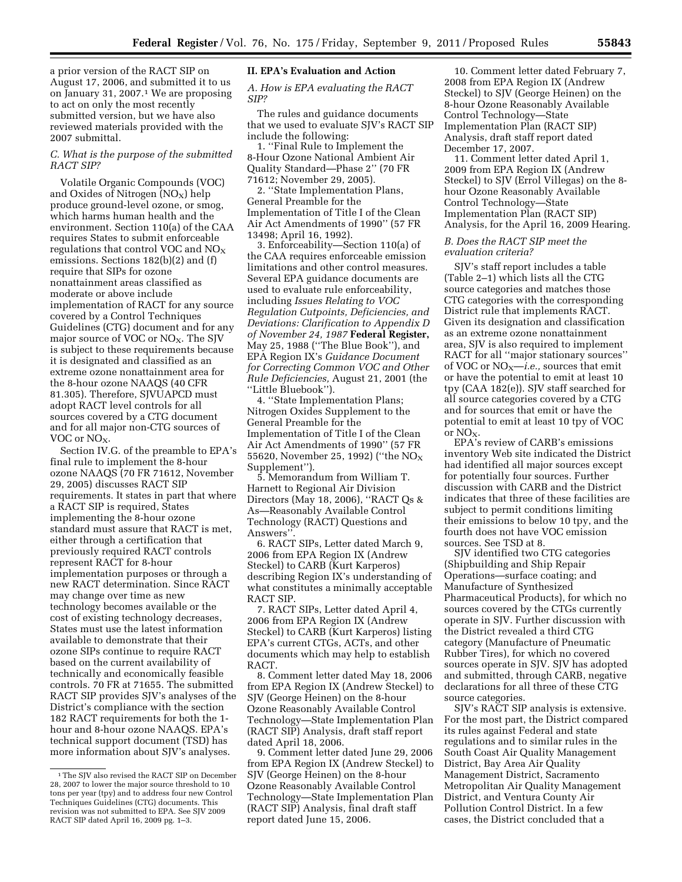a prior version of the RACT SIP on August 17, 2006, and submitted it to us on January 31, 2007.1 We are proposing to act on only the most recently submitted version, but we have also reviewed materials provided with the 2007 submittal.

## *C. What is the purpose of the submitted RACT SIP?*

Volatile Organic Compounds (VOC) and Oxides of Nitrogen  $(NO<sub>x</sub>)$  help produce ground-level ozone, or smog, which harms human health and the environment. Section 110(a) of the CAA requires States to submit enforceable regulations that control VOC and  $NO<sub>X</sub>$ emissions. Sections 182(b)(2) and (f) require that SIPs for ozone nonattainment areas classified as moderate or above include implementation of RACT for any source covered by a Control Techniques Guidelines (CTG) document and for any major source of VOC or NO<sub>X</sub>. The SJV is subject to these requirements because it is designated and classified as an extreme ozone nonattainment area for the 8-hour ozone NAAQS (40 CFR 81.305). Therefore, SJVUAPCD must adopt RACT level controls for all sources covered by a CTG document and for all major non-CTG sources of VOC or NO<sub>X</sub>.

Section IV.G. of the preamble to EPA's final rule to implement the 8-hour ozone NAAQS (70 FR 71612, November 29, 2005) discusses RACT SIP requirements. It states in part that where a RACT SIP is required, States implementing the 8-hour ozone standard must assure that RACT is met, either through a certification that previously required RACT controls represent RACT for 8-hour implementation purposes or through a new RACT determination. Since RACT may change over time as new technology becomes available or the cost of existing technology decreases, States must use the latest information available to demonstrate that their ozone SIPs continue to require RACT based on the current availability of technically and economically feasible controls. 70 FR at 71655. The submitted RACT SIP provides SJV's analyses of the District's compliance with the section 182 RACT requirements for both the 1 hour and 8-hour ozone NAAQS. EPA's technical support document (TSD) has more information about SJV's analyses.

## **II. EPA's Evaluation and Action**

*A. How is EPA evaluating the RACT SIP?* 

The rules and guidance documents that we used to evaluate SJV's RACT SIP include the following:

1. ''Final Rule to Implement the 8-Hour Ozone National Ambient Air Quality Standard—Phase 2'' (70 FR 71612; November 29, 2005).

2. ''State Implementation Plans, General Preamble for the Implementation of Title I of the Clean Air Act Amendments of 1990'' (57 FR 13498; April 16, 1992).

3. Enforceability—Section 110(a) of the CAA requires enforceable emission limitations and other control measures. Several EPA guidance documents are used to evaluate rule enforceability, including *Issues Relating to VOC Regulation Cutpoints, Deficiencies, and Deviations: Clarification to Appendix D of November 24, 1987* **Federal Register,**  May 25, 1988 (''The Blue Book''), and EPA Region IX's *Guidance Document for Correcting Common VOC and Other Rule Deficiencies,* August 21, 2001 (the ''Little Bluebook'').

4. ''State Implementation Plans; Nitrogen Oxides Supplement to the General Preamble for the Implementation of Title I of the Clean Air Act Amendments of 1990'' (57 FR 55620, November 25, 1992) ("the  $NO_X$ Supplement'').

5. Memorandum from William T. Harnett to Regional Air Division Directors (May 18, 2006), ''RACT Qs & As—Reasonably Available Control Technology (RACT) Questions and Answers''.

6. RACT SIPs, Letter dated March 9, 2006 from EPA Region IX (Andrew Steckel) to CARB (Kurt Karperos) describing Region IX's understanding of what constitutes a minimally acceptable RACT SIP.

7. RACT SIPs, Letter dated April 4, 2006 from EPA Region IX (Andrew Steckel) to CARB (Kurt Karperos) listing EPA's current CTGs, ACTs, and other documents which may help to establish RACT.

8. Comment letter dated May 18, 2006 from EPA Region IX (Andrew Steckel) to SJV (George Heinen) on the 8-hour Ozone Reasonably Available Control Technology—State Implementation Plan (RACT SIP) Analysis, draft staff report dated April 18, 2006.

9. Comment letter dated June 29, 2006 from EPA Region IX (Andrew Steckel) to SJV (George Heinen) on the 8-hour Ozone Reasonably Available Control Technology—State Implementation Plan (RACT SIP) Analysis, final draft staff report dated June 15, 2006.

10. Comment letter dated February 7, 2008 from EPA Region IX (Andrew Steckel) to SJV (George Heinen) on the 8-hour Ozone Reasonably Available Control Technology—State Implementation Plan (RACT SIP) Analysis, draft staff report dated December 17, 2007.

11. Comment letter dated April 1, 2009 from EPA Region IX (Andrew Steckel) to SJV (Errol Villegas) on the 8 hour Ozone Reasonably Available Control Technology—State Implementation Plan (RACT SIP) Analysis, for the April 16, 2009 Hearing.

## *B. Does the RACT SIP meet the evaluation criteria?*

SJV's staff report includes a table (Table 2–1) which lists all the CTG source categories and matches those CTG categories with the corresponding District rule that implements RACT. Given its designation and classification as an extreme ozone nonattainment area, SJV is also required to implement RACT for all ''major stationary sources'' of VOC or NO<sub>X</sub>—*i.e.*, sources that emit or have the potential to emit at least 10 tpy (CAA 182(e)). SJV staff searched for all source categories covered by a CTG and for sources that emit or have the potential to emit at least 10 tpy of VOC or  $NO<sub>x</sub>$ .

EPA's review of CARB's emissions inventory Web site indicated the District had identified all major sources except for potentially four sources. Further discussion with CARB and the District indicates that three of these facilities are subject to permit conditions limiting their emissions to below 10 tpy, and the fourth does not have VOC emission sources. See TSD at 8.

SJV identified two CTG categories (Shipbuilding and Ship Repair Operations—surface coating; and Manufacture of Synthesized Pharmaceutical Products), for which no sources covered by the CTGs currently operate in SJV. Further discussion with the District revealed a third CTG category (Manufacture of Pneumatic Rubber Tires), for which no covered sources operate in SJV. SJV has adopted and submitted, through CARB, negative declarations for all three of these CTG source categories.

SJV's RACT SIP analysis is extensive. For the most part, the District compared its rules against Federal and state regulations and to similar rules in the South Coast Air Quality Management District, Bay Area Air Quality Management District, Sacramento Metropolitan Air Quality Management District, and Ventura County Air Pollution Control District. In a few cases, the District concluded that a

<sup>&</sup>lt;sup>1</sup>The SJV also revised the RACT SIP on December 28, 2007 to lower the major source threshold to 10 tons per year (tpy) and to address four new Control Techniques Guidelines (CTG) documents. This revision was not submitted to EPA. See SJV 2009 RACT SIP dated April 16, 2009 pg. 1–3.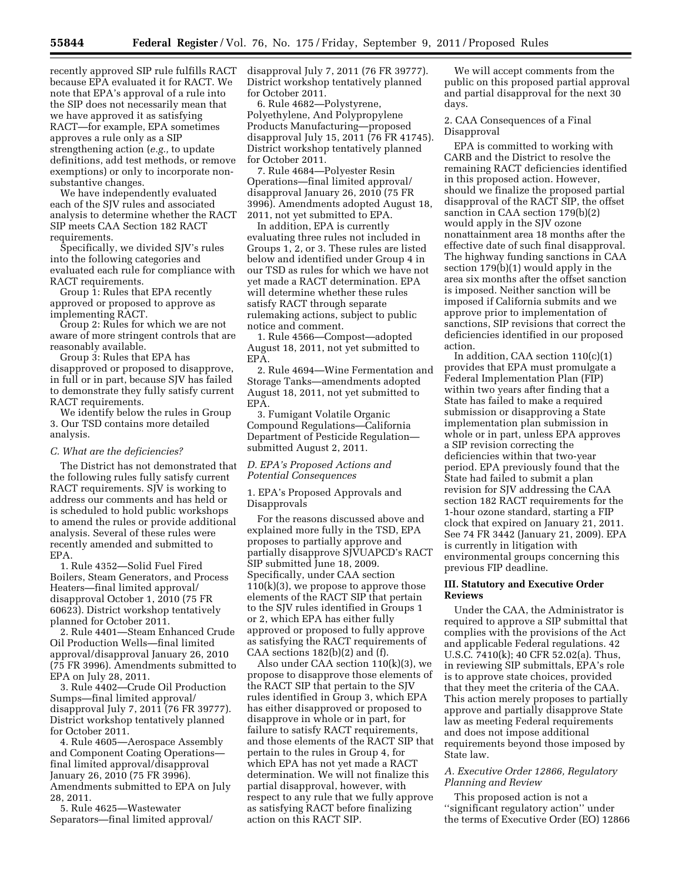recently approved SIP rule fulfills RACT because EPA evaluated it for RACT. We note that EPA's approval of a rule into the SIP does not necessarily mean that we have approved it as satisfying RACT—for example, EPA sometimes approves a rule only as a SIP strengthening action (*e.g.,* to update definitions, add test methods, or remove exemptions) or only to incorporate nonsubstantive changes.

We have independently evaluated each of the SJV rules and associated analysis to determine whether the RACT SIP meets CAA Section 182 RACT requirements.

Specifically, we divided SJV's rules into the following categories and evaluated each rule for compliance with RACT requirements.

Group 1: Rules that EPA recently approved or proposed to approve as implementing RACT.

Group 2: Rules for which we are not aware of more stringent controls that are reasonably available.

Group 3: Rules that EPA has disapproved or proposed to disapprove, in full or in part, because SJV has failed to demonstrate they fully satisfy current RACT requirements.

We identify below the rules in Group 3. Our TSD contains more detailed analysis.

### *C. What are the deficiencies?*

The District has not demonstrated that the following rules fully satisfy current RACT requirements. SJV is working to address our comments and has held or is scheduled to hold public workshops to amend the rules or provide additional analysis. Several of these rules were recently amended and submitted to EPA.

1. Rule 4352—Solid Fuel Fired Boilers, Steam Generators, and Process Heaters—final limited approval/ disapproval October 1, 2010 (75 FR 60623). District workshop tentatively planned for October 2011.

2. Rule 4401—Steam Enhanced Crude Oil Production Wells—final limited approval/disapproval January 26, 2010 (75 FR 3996). Amendments submitted to EPA on July 28, 2011.

3. Rule 4402—Crude Oil Production Sumps—final limited approval/ disapproval July 7, 2011 (76 FR 39777). District workshop tentatively planned for October 2011.

4. Rule 4605—Aerospace Assembly and Component Coating Operations final limited approval/disapproval January 26, 2010 (75 FR 3996). Amendments submitted to EPA on July 28, 2011.

5. Rule 4625—Wastewater Separators—final limited approval/ disapproval July 7, 2011 (76 FR 39777). District workshop tentatively planned for October 2011.

6. Rule 4682—Polystyrene, Polyethylene, And Polypropylene Products Manufacturing—proposed disapproval July 15, 2011 (76 FR 41745). District workshop tentatively planned for October 2011.

7. Rule 4684—Polyester Resin Operations—final limited approval/ disapproval January 26, 2010 (75 FR 3996). Amendments adopted August 18, 2011, not yet submitted to EPA.

In addition, EPA is currently evaluating three rules not included in Groups 1, 2, or 3. These rules are listed below and identified under Group 4 in our TSD as rules for which we have not yet made a RACT determination. EPA will determine whether these rules satisfy RACT through separate rulemaking actions, subject to public notice and comment.

1. Rule 4566—Compost—adopted August 18, 2011, not yet submitted to EPA.

2. Rule 4694—Wine Fermentation and Storage Tanks—amendments adopted August 18, 2011, not yet submitted to EPA.

3. Fumigant Volatile Organic Compound Regulations—California Department of Pesticide Regulation submitted August 2, 2011.

## *D. EPA's Proposed Actions and Potential Consequences*

1. EPA's Proposed Approvals and Disapprovals

For the reasons discussed above and explained more fully in the TSD, EPA proposes to partially approve and partially disapprove SJVUAPCD's RACT SIP submitted June 18, 2009. Specifically, under CAA section  $110(k)(3)$ , we propose to approve those elements of the RACT SIP that pertain to the SJV rules identified in Groups 1 or 2, which EPA has either fully approved or proposed to fully approve as satisfying the RACT requirements of CAA sections 182(b)(2) and (f).

Also under CAA section 110(k)(3), we propose to disapprove those elements of the RACT SIP that pertain to the SJV rules identified in Group 3, which EPA has either disapproved or proposed to disapprove in whole or in part, for failure to satisfy RACT requirements, and those elements of the RACT SIP that pertain to the rules in Group 4, for which EPA has not yet made a RACT determination. We will not finalize this partial disapproval, however, with respect to any rule that we fully approve as satisfying RACT before finalizing action on this RACT SIP.

We will accept comments from the public on this proposed partial approval and partial disapproval for the next 30 days.

2. CAA Consequences of a Final Disapproval

EPA is committed to working with CARB and the District to resolve the remaining RACT deficiencies identified in this proposed action. However, should we finalize the proposed partial disapproval of the RACT SIP, the offset sanction in CAA section 179(b)(2) would apply in the SJV ozone nonattainment area 18 months after the effective date of such final disapproval. The highway funding sanctions in CAA section 179(b)(1) would apply in the area six months after the offset sanction is imposed. Neither sanction will be imposed if California submits and we approve prior to implementation of sanctions, SIP revisions that correct the deficiencies identified in our proposed action.

In addition, CAA section 110(c)(1) provides that EPA must promulgate a Federal Implementation Plan (FIP) within two years after finding that a State has failed to make a required submission or disapproving a State implementation plan submission in whole or in part, unless EPA approves a SIP revision correcting the deficiencies within that two-year period. EPA previously found that the State had failed to submit a plan revision for SJV addressing the CAA section 182 RACT requirements for the 1-hour ozone standard, starting a FIP clock that expired on January 21, 2011. See 74 FR 3442 (January 21, 2009). EPA is currently in litigation with environmental groups concerning this previous FIP deadline.

# **III. Statutory and Executive Order Reviews**

Under the CAA, the Administrator is required to approve a SIP submittal that complies with the provisions of the Act and applicable Federal regulations. 42 U.S.C. 7410(k); 40 CFR 52.02(a). Thus, in reviewing SIP submittals, EPA's role is to approve state choices, provided that they meet the criteria of the CAA. This action merely proposes to partially approve and partially disapprove State law as meeting Federal requirements and does not impose additional requirements beyond those imposed by State law.

# *A. Executive Order 12866, Regulatory Planning and Review*

This proposed action is not a ''significant regulatory action'' under the terms of Executive Order (EO) 12866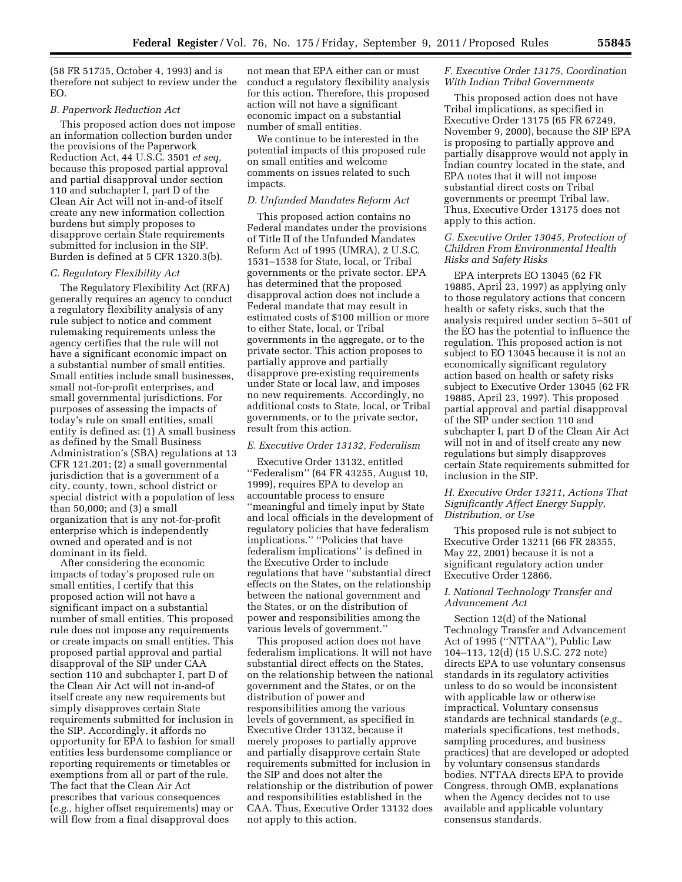(58 FR 51735, October 4, 1993) and is therefore not subject to review under the EO.

### *B. Paperwork Reduction Act*

This proposed action does not impose an information collection burden under the provisions of the Paperwork Reduction Act, 44 U.S.C. 3501 *et seq,*  because this proposed partial approval and partial disapproval under section 110 and subchapter I, part D of the Clean Air Act will not in-and-of itself create any new information collection burdens but simply proposes to disapprove certain State requirements submitted for inclusion in the SIP. Burden is defined at 5 CFR 1320.3(b).

### *C. Regulatory Flexibility Act*

The Regulatory Flexibility Act (RFA) generally requires an agency to conduct a regulatory flexibility analysis of any rule subject to notice and comment rulemaking requirements unless the agency certifies that the rule will not have a significant economic impact on a substantial number of small entities. Small entities include small businesses, small not-for-profit enterprises, and small governmental jurisdictions. For purposes of assessing the impacts of today's rule on small entities, small entity is defined as: (1) A small business as defined by the Small Business Administration's (SBA) regulations at 13 CFR 121.201; (2) a small governmental jurisdiction that is a government of a city, county, town, school district or special district with a population of less than 50,000; and (3) a small organization that is any not-for-profit enterprise which is independently owned and operated and is not dominant in its field.

After considering the economic impacts of today's proposed rule on small entities, I certify that this proposed action will not have a significant impact on a substantial number of small entities. This proposed rule does not impose any requirements or create impacts on small entities. This proposed partial approval and partial disapproval of the SIP under CAA section 110 and subchapter I, part D of the Clean Air Act will not in-and-of itself create any new requirements but simply disapproves certain State requirements submitted for inclusion in the SIP. Accordingly, it affords no opportunity for EPA to fashion for small entities less burdensome compliance or reporting requirements or timetables or exemptions from all or part of the rule. The fact that the Clean Air Act prescribes that various consequences (*e.g.,* higher offset requirements) may or will flow from a final disapproval does

not mean that EPA either can or must conduct a regulatory flexibility analysis for this action. Therefore, this proposed action will not have a significant economic impact on a substantial number of small entities.

We continue to be interested in the potential impacts of this proposed rule on small entities and welcome comments on issues related to such impacts.

## *D. Unfunded Mandates Reform Act*

This proposed action contains no Federal mandates under the provisions of Title II of the Unfunded Mandates Reform Act of 1995 (UMRA), 2 U.S.C. 1531–1538 for State, local, or Tribal governments or the private sector. EPA has determined that the proposed disapproval action does not include a Federal mandate that may result in estimated costs of \$100 million or more to either State, local, or Tribal governments in the aggregate, or to the private sector. This action proposes to partially approve and partially disapprove pre-existing requirements under State or local law, and imposes no new requirements. Accordingly, no additional costs to State, local, or Tribal governments, or to the private sector, result from this action.

## *E. Executive Order 13132, Federalism*

Executive Order 13132, entitled ''Federalism'' (64 FR 43255, August 10, 1999), requires EPA to develop an accountable process to ensure ''meaningful and timely input by State and local officials in the development of regulatory policies that have federalism implications.'' ''Policies that have federalism implications'' is defined in the Executive Order to include regulations that have ''substantial direct effects on the States, on the relationship between the national government and the States, or on the distribution of power and responsibilities among the various levels of government.''

This proposed action does not have federalism implications. It will not have substantial direct effects on the States, on the relationship between the national government and the States, or on the distribution of power and responsibilities among the various levels of government, as specified in Executive Order 13132, because it merely proposes to partially approve and partially disapprove certain State requirements submitted for inclusion in the SIP and does not alter the relationship or the distribution of power and responsibilities established in the CAA. Thus, Executive Order 13132 does not apply to this action.

## *F. Executive Order 13175, Coordination With Indian Tribal Governments*

This proposed action does not have Tribal implications, as specified in Executive Order 13175 (65 FR 67249, November 9, 2000), because the SIP EPA is proposing to partially approve and partially disapprove would not apply in Indian country located in the state, and EPA notes that it will not impose substantial direct costs on Tribal governments or preempt Tribal law. Thus, Executive Order 13175 does not apply to this action.

# *G. Executive Order 13045, Protection of Children From Environmental Health Risks and Safety Risks*

EPA interprets EO 13045 (62 FR 19885, April 23, 1997) as applying only to those regulatory actions that concern health or safety risks, such that the analysis required under section 5–501 of the EO has the potential to influence the regulation. This proposed action is not subject to EO 13045 because it is not an economically significant regulatory action based on health or safety risks subject to Executive Order 13045 (62 FR 19885, April 23, 1997). This proposed partial approval and partial disapproval of the SIP under section 110 and subchapter I, part D of the Clean Air Act will not in and of itself create any new regulations but simply disapproves certain State requirements submitted for inclusion in the SIP.

## *H. Executive Order 13211, Actions That Significantly Affect Energy Supply, Distribution, or Use*

This proposed rule is not subject to Executive Order 13211 (66 FR 28355, May 22, 2001) because it is not a significant regulatory action under Executive Order 12866.

## *I. National Technology Transfer and Advancement Act*

Section 12(d) of the National Technology Transfer and Advancement Act of 1995 (''NTTAA''), Public Law 104–113, 12(d) (15 U.S.C. 272 note) directs EPA to use voluntary consensus standards in its regulatory activities unless to do so would be inconsistent with applicable law or otherwise impractical. Voluntary consensus standards are technical standards (*e.g.,*  materials specifications, test methods, sampling procedures, and business practices) that are developed or adopted by voluntary consensus standards bodies. NTTAA directs EPA to provide Congress, through OMB, explanations when the Agency decides not to use available and applicable voluntary consensus standards.